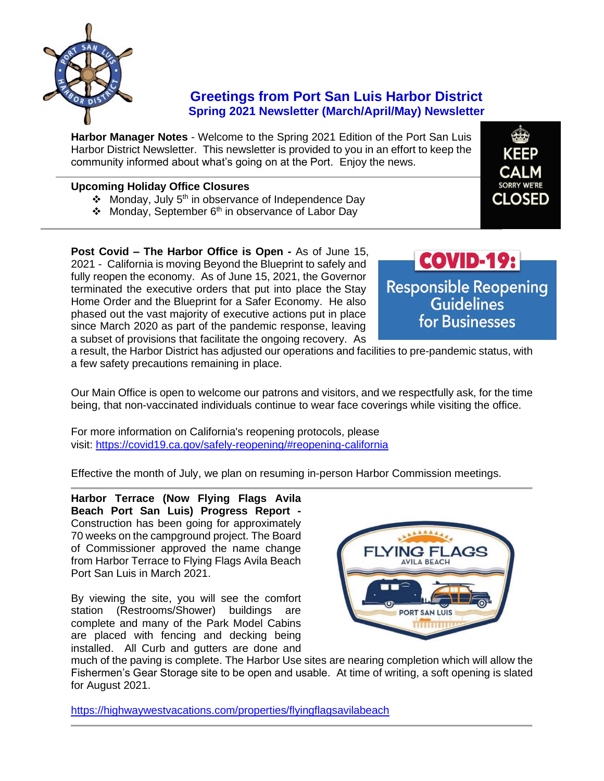

## **Greetings from Port San Luis Harbor District Spring 2021 Newsletter (March/April/May) Newsletter**

**Harbor Manager Notes** - Welcome to the Spring 2021 Edition of the Port San Luis Harbor District Newsletter. This newsletter is provided to you in an effort to keep the community informed about what's going on at the Port. Enjoy the news.

## **Upcoming Holiday Office Closures**

- ❖ Monday, July 5th in observance of Independence Day
- $\div$  Monday, September 6<sup>th</sup> in observance of Labor Day

**Post Covid – The Harbor Office is Open -** As of June 15, 2021 - California is moving Beyond the Blueprint to safely and fully reopen the economy. As of June 15, 2021, the Governor terminated the executive orders that put into place the Stay Home Order and the Blueprint for a Safer Economy. He also phased out the vast majority of executive actions put in place since March 2020 as part of the pandemic response, leaving a subset of provisions that facilitate the ongoing recovery. As



**CLOSED** 

a result, the Harbor District has adjusted our operations and facilities to pre-pandemic status, with a few safety precautions remaining in place.

Our Main Office is open to welcome our patrons and visitors, and we respectfully ask, for the time being, that non-vaccinated individuals continue to wear face coverings while visiting the office.

For more information on California's reopening protocols, please visit: <https://covid19.ca.gov/safely-reopening/#reopening-california>

Effective the month of July, we plan on resuming in-person Harbor Commission meetings.

**Harbor Terrace (Now Flying Flags Avila Beach Port San Luis) Progress Report -** Construction has been going for approximately 70 weeks on the campground project. The Board of Commissioner approved the name change from Harbor Terrace to Flying Flags Avila Beach Port San Luis in March 2021.

By viewing the site, you will see the comfort station (Restrooms/Shower) buildings are complete and many of the Park Model Cabins are placed with fencing and decking being installed. All Curb and gutters are done and



much of the paving is complete. The Harbor Use sites are nearing completion which will allow the Fishermen's Gear Storage site to be open and usable. At time of writing, a soft opening is slated for August 2021.

<https://highwaywestvacations.com/properties/flyingflagsavilabeach>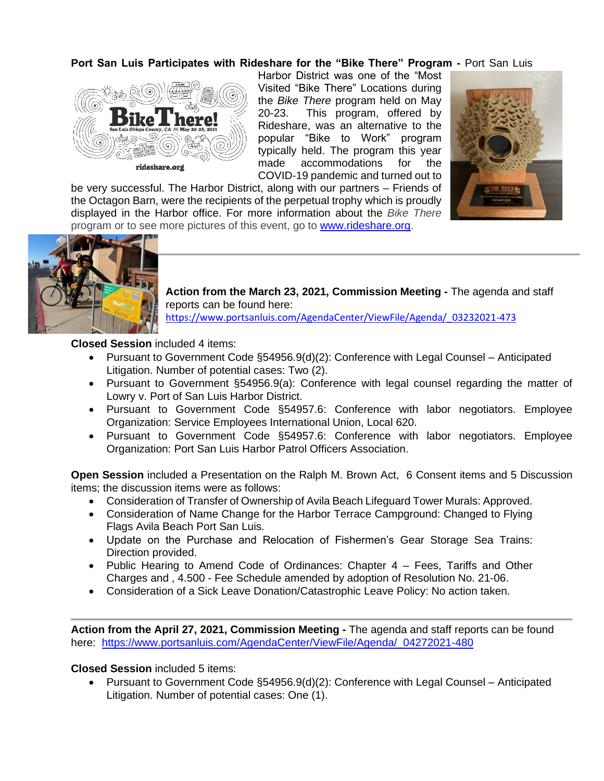### **Port San Luis Participates with Rideshare for the "Bike There" Program -** Port San Luis



Harbor District was one of the "Most Visited "Bike There" Locations during the *Bike There* program held on May 20-23. This program, offered by Rideshare, was an alternative to the popular "Bike to Work" program typically held. The program this year made accommodations for the COVID-19 pandemic and turned out to

be very successful. The Harbor District, along with our partners – Friends of the Octagon Barn, were the recipients of the perpetual trophy which is proudly displayed in the Harbor office. For more information about the *Bike There* program or to see more pictures of this event, go to [www.rideshare.org.](http://www.rideshare.org/)





**Action from the March 23, 2021, Commission Meeting -** The agenda and staff reports can be found here:

[https://www.portsanluis.com/AgendaCenter/ViewFile/Agenda/\\_03232021-473](https://www.portsanluis.com/AgendaCenter/ViewFile/Agenda/_03232021-473)

**Closed Session** included 4 items:

- Pursuant to Government Code §54956.9(d)(2): Conference with Legal Counsel Anticipated Litigation. Number of potential cases: Two (2).
- Pursuant to Government §54956.9(a): Conference with legal counsel regarding the matter of Lowry v. Port of San Luis Harbor District.
- Pursuant to Government Code §54957.6: Conference with labor negotiators. Employee Organization: Service Employees International Union, Local 620.
- Pursuant to Government Code §54957.6: Conference with labor negotiators. Employee Organization: Port San Luis Harbor Patrol Officers Association.

**Open Session** included a Presentation on the Ralph M. Brown Act, 6 Consent items and 5 Discussion items; the discussion items were as follows:

- Consideration of Transfer of Ownership of Avila Beach Lifeguard Tower Murals: Approved.
- Consideration of Name Change for the Harbor Terrace Campground: Changed to Flying Flags Avila Beach Port San Luis.
- Update on the Purchase and Relocation of Fishermen's Gear Storage Sea Trains: Direction provided.
- Public Hearing to Amend Code of Ordinances: Chapter 4 Fees, Tariffs and Other Charges and , 4.500 - Fee Schedule amended by adoption of Resolution No. 21-06.
- Consideration of a Sick Leave Donation/Catastrophic Leave Policy: No action taken.

**Action from the April 27, 2021, Commission Meeting -** The agenda and staff reports can be found here: https://www.portsanluis.com/AgendaCenter/ViewFile/Agenda/ 04272021-480

**Closed Session** included 5 items:

• Pursuant to Government Code §54956.9(d)(2): Conference with Legal Counsel – Anticipated Litigation. Number of potential cases: One (1).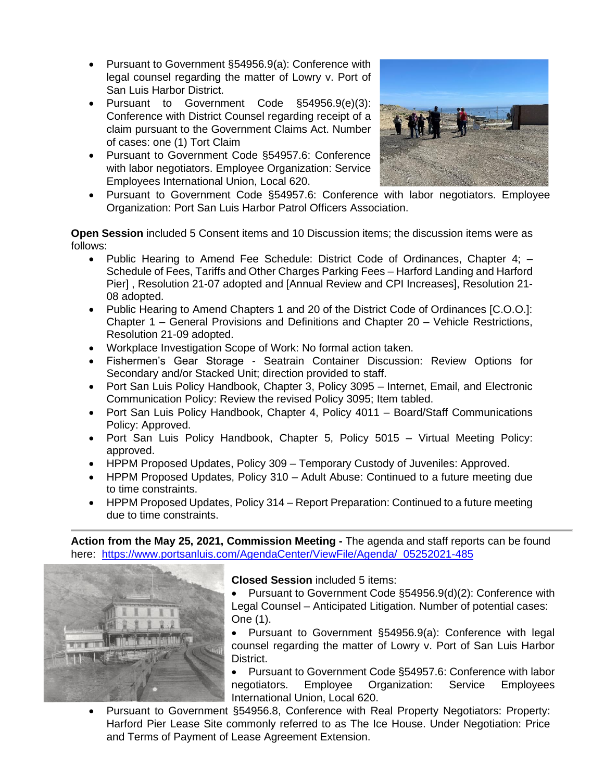- Pursuant to Government §54956.9(a): Conference with legal counsel regarding the matter of Lowry v. Port of San Luis Harbor District.
- Pursuant to Government Code §54956.9(e)(3): Conference with District Counsel regarding receipt of a claim pursuant to the Government Claims Act. Number of cases: one (1) Tort Claim
- Pursuant to Government Code §54957.6: Conference with labor negotiators. Employee Organization: Service Employees International Union, Local 620.



• Pursuant to Government Code §54957.6: Conference with labor negotiators. Employee Organization: Port San Luis Harbor Patrol Officers Association.

**Open Session** included 5 Consent items and 10 Discussion items; the discussion items were as follows:

- Public Hearing to Amend Fee Schedule: District Code of Ordinances, Chapter 4; Schedule of Fees, Tariffs and Other Charges Parking Fees - Harford Landing and Harford Pier] , Resolution 21-07 adopted and [Annual Review and CPI Increases], Resolution 21- 08 adopted.
- Public Hearing to Amend Chapters 1 and 20 of the District Code of Ordinances [C.O.O.]: Chapter 1 – General Provisions and Definitions and Chapter 20 – Vehicle Restrictions, Resolution 21-09 adopted.
- Workplace Investigation Scope of Work: No formal action taken.
- Fishermen's Gear Storage Seatrain Container Discussion: Review Options for Secondary and/or Stacked Unit; direction provided to staff.
- Port San Luis Policy Handbook, Chapter 3, Policy 3095 Internet, Email, and Electronic Communication Policy: Review the revised Policy 3095; Item tabled.
- Port San Luis Policy Handbook, Chapter 4, Policy 4011 Board/Staff Communications Policy: Approved.
- Port San Luis Policy Handbook, Chapter 5, Policy 5015 Virtual Meeting Policy: approved.
- HPPM Proposed Updates, Policy 309 Temporary Custody of Juveniles: Approved.
- HPPM Proposed Updates, Policy 310 Adult Abuse: Continued to a future meeting due to time constraints.
- HPPM Proposed Updates, Policy 314 Report Preparation: Continued to a future meeting due to time constraints.

**Action from the May 25, 2021, Commission Meeting -** The agenda and staff reports can be found here: https://www.portsanluis.com/AgendaCenter/ViewFile/Agenda/ 05252021-485



**Closed Session** included 5 items:

- Pursuant to Government Code §54956.9(d)(2): Conference with Legal Counsel – Anticipated Litigation. Number of potential cases: One (1).
- Pursuant to Government §54956.9(a): Conference with legal counsel regarding the matter of Lowry v. Port of San Luis Harbor District.
- Pursuant to Government Code §54957.6: Conference with labor negotiators. Employee Organization: Service Employees International Union, Local 620.
- Pursuant to Government §54956.8, Conference with Real Property Negotiators: Property: Harford Pier Lease Site commonly referred to as The Ice House. Under Negotiation: Price and Terms of Payment of Lease Agreement Extension.